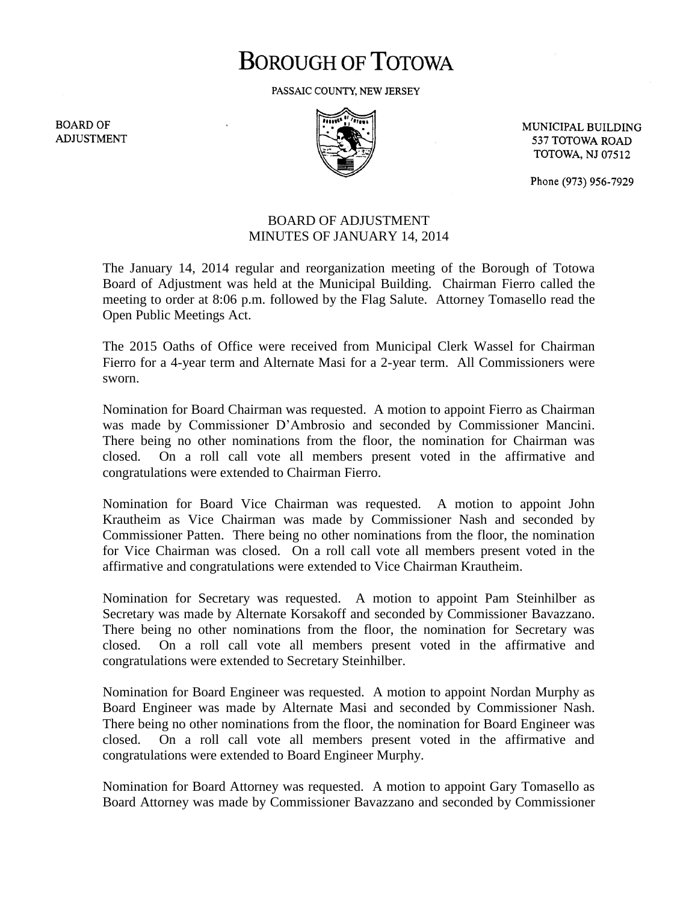# **BOROUGH OF TOTOWA**

PASSAIC COUNTY, NEW JERSEY

**BOARD OF ADJUSTMENT** 



MUNICIPAL BUILDING 537 TOTOWA ROAD **TOTOWA, NJ 07512** 

Phone (973) 956-7929

## BOARD OF ADJUSTMENT MINUTES OF JANUARY 14, 2014

The January 14, 2014 regular and reorganization meeting of the Borough of Totowa Board of Adjustment was held at the Municipal Building. Chairman Fierro called the meeting to order at 8:06 p.m. followed by the Flag Salute. Attorney Tomasello read the Open Public Meetings Act.

The 2015 Oaths of Office were received from Municipal Clerk Wassel for Chairman Fierro for a 4-year term and Alternate Masi for a 2-year term. All Commissioners were sworn.

Nomination for Board Chairman was requested. A motion to appoint Fierro as Chairman was made by Commissioner D'Ambrosio and seconded by Commissioner Mancini. There being no other nominations from the floor, the nomination for Chairman was closed. On a roll call vote all members present voted in the affirmative and congratulations were extended to Chairman Fierro.

Nomination for Board Vice Chairman was requested. A motion to appoint John Krautheim as Vice Chairman was made by Commissioner Nash and seconded by Commissioner Patten. There being no other nominations from the floor, the nomination for Vice Chairman was closed. On a roll call vote all members present voted in the affirmative and congratulations were extended to Vice Chairman Krautheim.

Nomination for Secretary was requested. A motion to appoint Pam Steinhilber as Secretary was made by Alternate Korsakoff and seconded by Commissioner Bavazzano. There being no other nominations from the floor, the nomination for Secretary was closed. On a roll call vote all members present voted in the affirmative and congratulations were extended to Secretary Steinhilber.

Nomination for Board Engineer was requested. A motion to appoint Nordan Murphy as Board Engineer was made by Alternate Masi and seconded by Commissioner Nash. There being no other nominations from the floor, the nomination for Board Engineer was closed. On a roll call vote all members present voted in the affirmative and congratulations were extended to Board Engineer Murphy.

Nomination for Board Attorney was requested. A motion to appoint Gary Tomasello as Board Attorney was made by Commissioner Bavazzano and seconded by Commissioner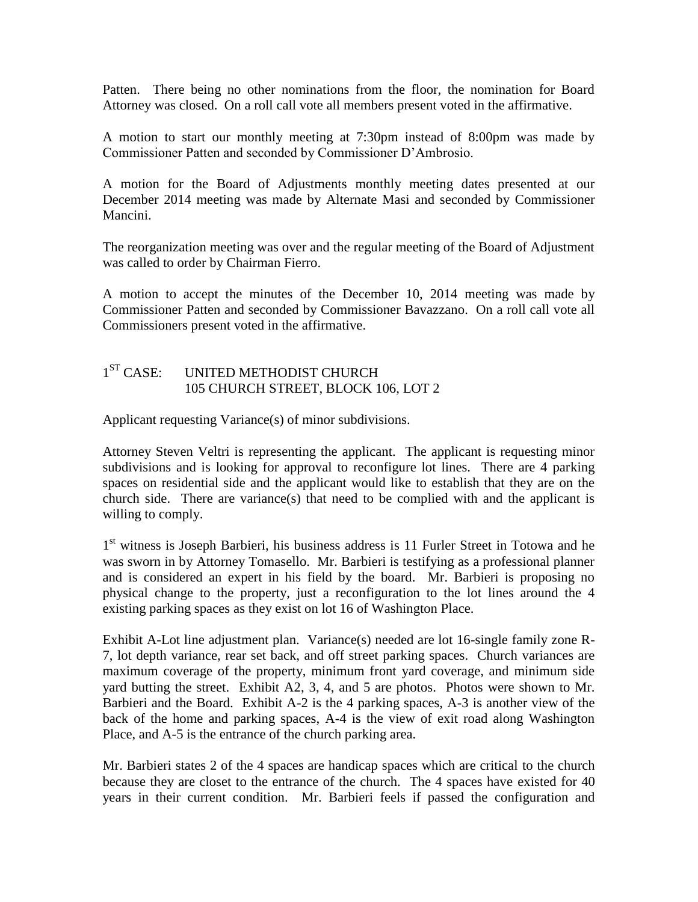Patten. There being no other nominations from the floor, the nomination for Board Attorney was closed. On a roll call vote all members present voted in the affirmative.

A motion to start our monthly meeting at 7:30pm instead of 8:00pm was made by Commissioner Patten and seconded by Commissioner D'Ambrosio.

A motion for the Board of Adjustments monthly meeting dates presented at our December 2014 meeting was made by Alternate Masi and seconded by Commissioner Mancini.

The reorganization meeting was over and the regular meeting of the Board of Adjustment was called to order by Chairman Fierro.

A motion to accept the minutes of the December 10, 2014 meeting was made by Commissioner Patten and seconded by Commissioner Bavazzano. On a roll call vote all Commissioners present voted in the affirmative.

#### $1^{ST}$  CASE: UNITED METHODIST CHURCH 105 CHURCH STREET, BLOCK 106, LOT 2

Applicant requesting Variance(s) of minor subdivisions.

Attorney Steven Veltri is representing the applicant. The applicant is requesting minor subdivisions and is looking for approval to reconfigure lot lines. There are 4 parking spaces on residential side and the applicant would like to establish that they are on the church side. There are variance(s) that need to be complied with and the applicant is willing to comply.

1<sup>st</sup> witness is Joseph Barbieri, his business address is 11 Furler Street in Totowa and he was sworn in by Attorney Tomasello. Mr. Barbieri is testifying as a professional planner and is considered an expert in his field by the board. Mr. Barbieri is proposing no physical change to the property, just a reconfiguration to the lot lines around the 4 existing parking spaces as they exist on lot 16 of Washington Place.

Exhibit A-Lot line adjustment plan. Variance(s) needed are lot 16-single family zone R-7, lot depth variance, rear set back, and off street parking spaces. Church variances are maximum coverage of the property, minimum front yard coverage, and minimum side yard butting the street. Exhibit A2, 3, 4, and 5 are photos. Photos were shown to Mr. Barbieri and the Board. Exhibit A-2 is the 4 parking spaces, A-3 is another view of the back of the home and parking spaces, A-4 is the view of exit road along Washington Place, and A-5 is the entrance of the church parking area.

Mr. Barbieri states 2 of the 4 spaces are handicap spaces which are critical to the church because they are closet to the entrance of the church. The 4 spaces have existed for 40 years in their current condition. Mr. Barbieri feels if passed the configuration and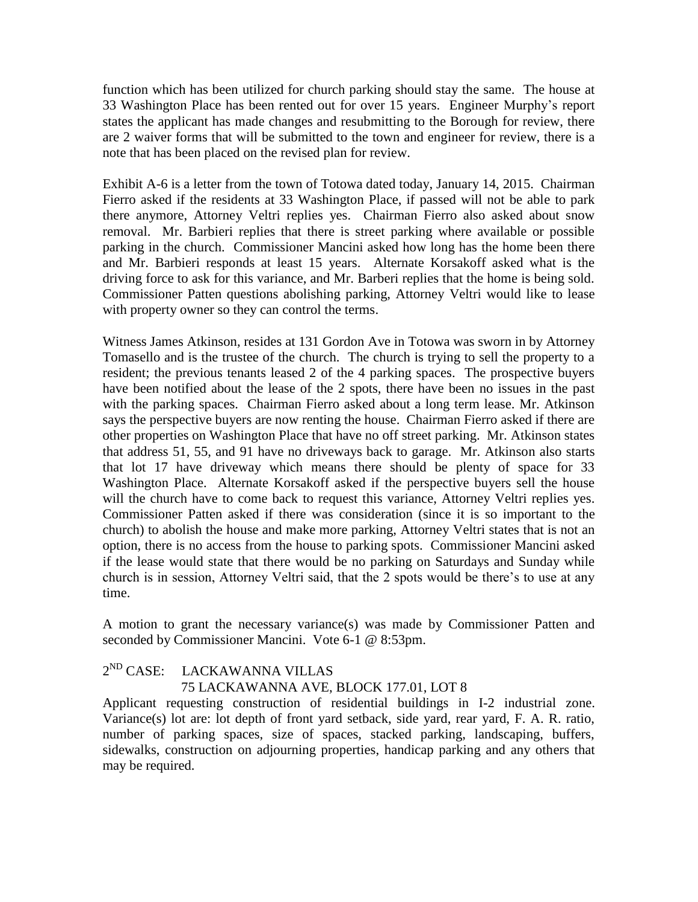function which has been utilized for church parking should stay the same. The house at 33 Washington Place has been rented out for over 15 years. Engineer Murphy's report states the applicant has made changes and resubmitting to the Borough for review, there are 2 waiver forms that will be submitted to the town and engineer for review, there is a note that has been placed on the revised plan for review.

Exhibit A-6 is a letter from the town of Totowa dated today, January 14, 2015. Chairman Fierro asked if the residents at 33 Washington Place, if passed will not be able to park there anymore, Attorney Veltri replies yes. Chairman Fierro also asked about snow removal. Mr. Barbieri replies that there is street parking where available or possible parking in the church. Commissioner Mancini asked how long has the home been there and Mr. Barbieri responds at least 15 years. Alternate Korsakoff asked what is the driving force to ask for this variance, and Mr. Barberi replies that the home is being sold. Commissioner Patten questions abolishing parking, Attorney Veltri would like to lease with property owner so they can control the terms.

Witness James Atkinson, resides at 131 Gordon Ave in Totowa was sworn in by Attorney Tomasello and is the trustee of the church. The church is trying to sell the property to a resident; the previous tenants leased 2 of the 4 parking spaces. The prospective buyers have been notified about the lease of the 2 spots, there have been no issues in the past with the parking spaces. Chairman Fierro asked about a long term lease. Mr. Atkinson says the perspective buyers are now renting the house. Chairman Fierro asked if there are other properties on Washington Place that have no off street parking. Mr. Atkinson states that address 51, 55, and 91 have no driveways back to garage. Mr. Atkinson also starts that lot 17 have driveway which means there should be plenty of space for 33 Washington Place. Alternate Korsakoff asked if the perspective buyers sell the house will the church have to come back to request this variance, Attorney Veltri replies yes. Commissioner Patten asked if there was consideration (since it is so important to the church) to abolish the house and make more parking, Attorney Veltri states that is not an option, there is no access from the house to parking spots. Commissioner Mancini asked if the lease would state that there would be no parking on Saturdays and Sunday while church is in session, Attorney Veltri said, that the 2 spots would be there's to use at any time.

A motion to grant the necessary variance(s) was made by Commissioner Patten and seconded by Commissioner Mancini. Vote 6-1 @ 8:53pm.

#### $2^{ND}$  CASE: LACKAWANNA VILLAS

## 75 LACKAWANNA AVE, BLOCK 177.01, LOT 8

Applicant requesting construction of residential buildings in I-2 industrial zone. Variance(s) lot are: lot depth of front yard setback, side yard, rear yard, F. A. R. ratio, number of parking spaces, size of spaces, stacked parking, landscaping, buffers, sidewalks, construction on adjourning properties, handicap parking and any others that may be required.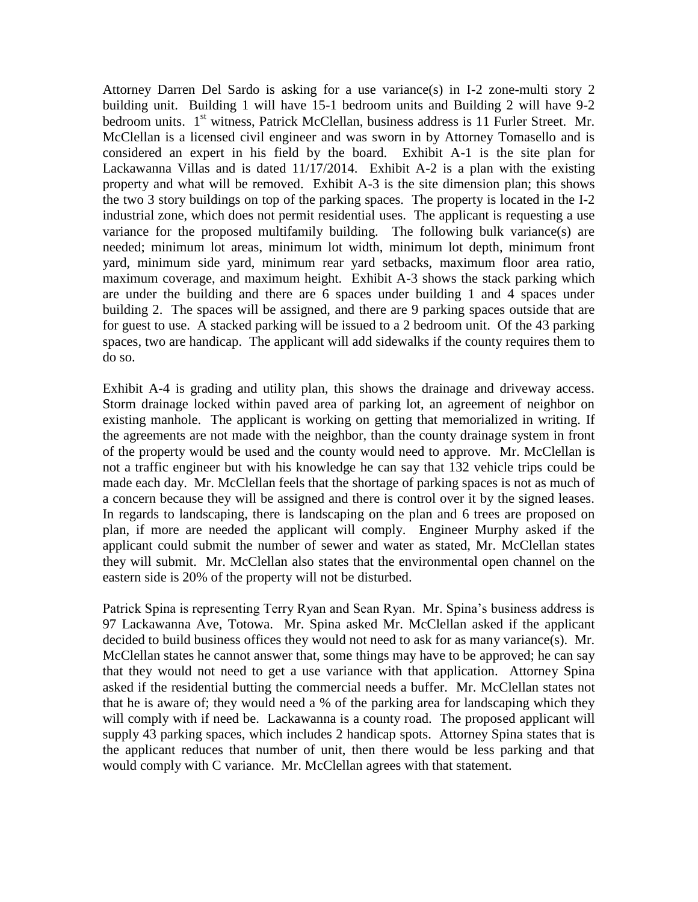Attorney Darren Del Sardo is asking for a use variance(s) in I-2 zone-multi story 2 building unit. Building 1 will have 15-1 bedroom units and Building 2 will have 9-2 bedroom units. 1<sup>st</sup> witness, Patrick McClellan, business address is 11 Furler Street. Mr. McClellan is a licensed civil engineer and was sworn in by Attorney Tomasello and is considered an expert in his field by the board. Exhibit A-1 is the site plan for Lackawanna Villas and is dated 11/17/2014. Exhibit A-2 is a plan with the existing property and what will be removed. Exhibit A-3 is the site dimension plan; this shows the two 3 story buildings on top of the parking spaces. The property is located in the I-2 industrial zone, which does not permit residential uses. The applicant is requesting a use variance for the proposed multifamily building. The following bulk variance(s) are needed; minimum lot areas, minimum lot width, minimum lot depth, minimum front yard, minimum side yard, minimum rear yard setbacks, maximum floor area ratio, maximum coverage, and maximum height. Exhibit A-3 shows the stack parking which are under the building and there are 6 spaces under building 1 and 4 spaces under building 2. The spaces will be assigned, and there are 9 parking spaces outside that are for guest to use. A stacked parking will be issued to a 2 bedroom unit. Of the 43 parking spaces, two are handicap. The applicant will add sidewalks if the county requires them to do so.

Exhibit A-4 is grading and utility plan, this shows the drainage and driveway access. Storm drainage locked within paved area of parking lot, an agreement of neighbor on existing manhole. The applicant is working on getting that memorialized in writing. If the agreements are not made with the neighbor, than the county drainage system in front of the property would be used and the county would need to approve. Mr. McClellan is not a traffic engineer but with his knowledge he can say that 132 vehicle trips could be made each day. Mr. McClellan feels that the shortage of parking spaces is not as much of a concern because they will be assigned and there is control over it by the signed leases. In regards to landscaping, there is landscaping on the plan and 6 trees are proposed on plan, if more are needed the applicant will comply. Engineer Murphy asked if the applicant could submit the number of sewer and water as stated, Mr. McClellan states they will submit. Mr. McClellan also states that the environmental open channel on the eastern side is 20% of the property will not be disturbed.

Patrick Spina is representing Terry Ryan and Sean Ryan. Mr. Spina's business address is 97 Lackawanna Ave, Totowa. Mr. Spina asked Mr. McClellan asked if the applicant decided to build business offices they would not need to ask for as many variance(s). Mr. McClellan states he cannot answer that, some things may have to be approved; he can say that they would not need to get a use variance with that application. Attorney Spina asked if the residential butting the commercial needs a buffer. Mr. McClellan states not that he is aware of; they would need a % of the parking area for landscaping which they will comply with if need be. Lackawanna is a county road. The proposed applicant will supply 43 parking spaces, which includes 2 handicap spots. Attorney Spina states that is the applicant reduces that number of unit, then there would be less parking and that would comply with C variance. Mr. McClellan agrees with that statement.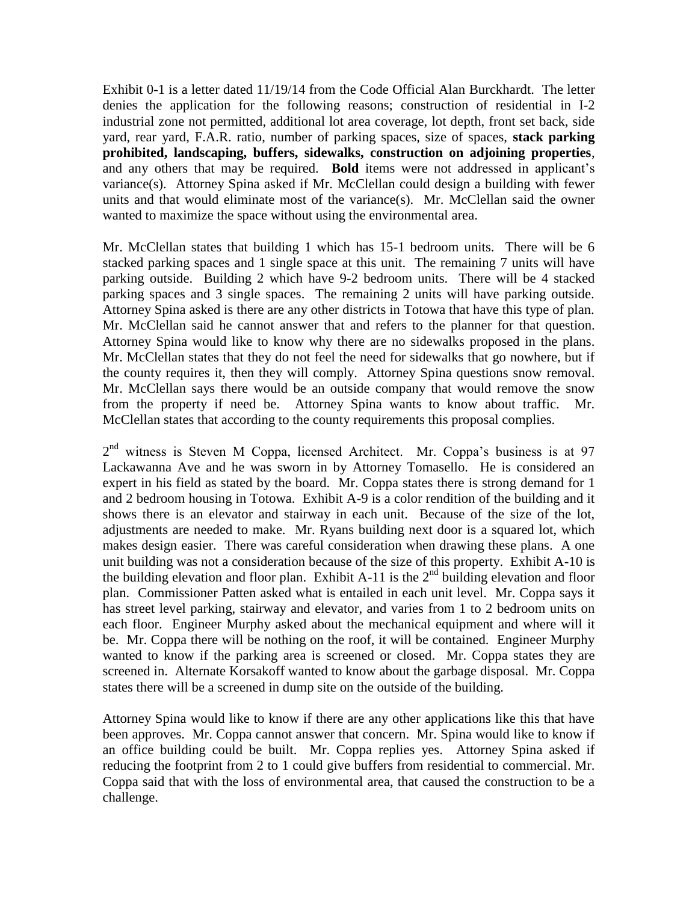Exhibit 0-1 is a letter dated 11/19/14 from the Code Official Alan Burckhardt. The letter denies the application for the following reasons; construction of residential in I-2 industrial zone not permitted, additional lot area coverage, lot depth, front set back, side yard, rear yard, F.A.R. ratio, number of parking spaces, size of spaces, **stack parking prohibited, landscaping, buffers, sidewalks, construction on adjoining properties**, and any others that may be required. **Bold** items were not addressed in applicant's variance(s). Attorney Spina asked if Mr. McClellan could design a building with fewer units and that would eliminate most of the variance(s). Mr. McClellan said the owner wanted to maximize the space without using the environmental area.

Mr. McClellan states that building 1 which has 15-1 bedroom units. There will be 6 stacked parking spaces and 1 single space at this unit. The remaining 7 units will have parking outside. Building 2 which have 9-2 bedroom units. There will be 4 stacked parking spaces and 3 single spaces. The remaining 2 units will have parking outside. Attorney Spina asked is there are any other districts in Totowa that have this type of plan. Mr. McClellan said he cannot answer that and refers to the planner for that question. Attorney Spina would like to know why there are no sidewalks proposed in the plans. Mr. McClellan states that they do not feel the need for sidewalks that go nowhere, but if the county requires it, then they will comply. Attorney Spina questions snow removal. Mr. McClellan says there would be an outside company that would remove the snow from the property if need be. Attorney Spina wants to know about traffic. Mr. McClellan states that according to the county requirements this proposal complies.

2<sup>nd</sup> witness is Steven M Coppa, licensed Architect. Mr. Coppa's business is at 97 Lackawanna Ave and he was sworn in by Attorney Tomasello. He is considered an expert in his field as stated by the board. Mr. Coppa states there is strong demand for 1 and 2 bedroom housing in Totowa. Exhibit A-9 is a color rendition of the building and it shows there is an elevator and stairway in each unit. Because of the size of the lot, adjustments are needed to make. Mr. Ryans building next door is a squared lot, which makes design easier. There was careful consideration when drawing these plans. A one unit building was not a consideration because of the size of this property. Exhibit A-10 is the building elevation and floor plan. Exhibit A-11 is the  $2<sup>nd</sup>$  building elevation and floor plan. Commissioner Patten asked what is entailed in each unit level. Mr. Coppa says it has street level parking, stairway and elevator, and varies from 1 to 2 bedroom units on each floor. Engineer Murphy asked about the mechanical equipment and where will it be. Mr. Coppa there will be nothing on the roof, it will be contained. Engineer Murphy wanted to know if the parking area is screened or closed. Mr. Coppa states they are screened in. Alternate Korsakoff wanted to know about the garbage disposal. Mr. Coppa states there will be a screened in dump site on the outside of the building.

Attorney Spina would like to know if there are any other applications like this that have been approves. Mr. Coppa cannot answer that concern. Mr. Spina would like to know if an office building could be built. Mr. Coppa replies yes. Attorney Spina asked if reducing the footprint from 2 to 1 could give buffers from residential to commercial. Mr. Coppa said that with the loss of environmental area, that caused the construction to be a challenge.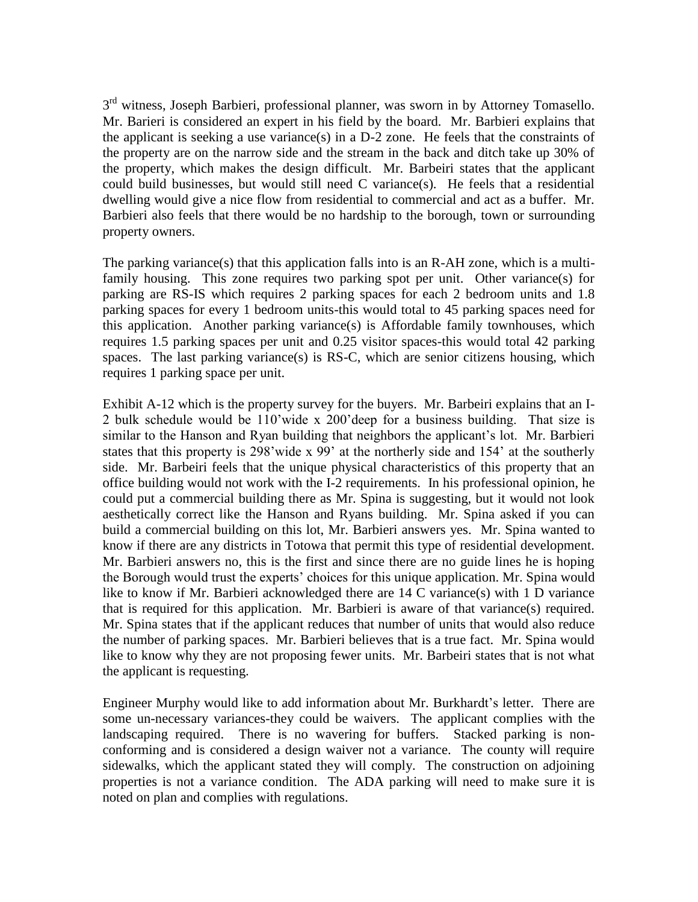3<sup>rd</sup> witness, Joseph Barbieri, professional planner, was sworn in by Attorney Tomasello. Mr. Barieri is considered an expert in his field by the board. Mr. Barbieri explains that the applicant is seeking a use variance(s) in a  $D-2$  zone. He feels that the constraints of the property are on the narrow side and the stream in the back and ditch take up 30% of the property, which makes the design difficult. Mr. Barbeiri states that the applicant could build businesses, but would still need C variance(s). He feels that a residential dwelling would give a nice flow from residential to commercial and act as a buffer. Mr. Barbieri also feels that there would be no hardship to the borough, town or surrounding property owners.

The parking variance(s) that this application falls into is an R-AH zone, which is a multifamily housing. This zone requires two parking spot per unit. Other variance(s) for parking are RS-IS which requires 2 parking spaces for each 2 bedroom units and 1.8 parking spaces for every 1 bedroom units-this would total to 45 parking spaces need for this application. Another parking variance(s) is Affordable family townhouses, which requires 1.5 parking spaces per unit and 0.25 visitor spaces-this would total 42 parking spaces. The last parking variance(s) is RS-C, which are senior citizens housing, which requires 1 parking space per unit.

Exhibit A-12 which is the property survey for the buyers. Mr. Barbeiri explains that an I-2 bulk schedule would be 110'wide x 200'deep for a business building. That size is similar to the Hanson and Ryan building that neighbors the applicant's lot. Mr. Barbieri states that this property is 298'wide x 99' at the northerly side and 154' at the southerly side. Mr. Barbeiri feels that the unique physical characteristics of this property that an office building would not work with the I-2 requirements. In his professional opinion, he could put a commercial building there as Mr. Spina is suggesting, but it would not look aesthetically correct like the Hanson and Ryans building. Mr. Spina asked if you can build a commercial building on this lot, Mr. Barbieri answers yes. Mr. Spina wanted to know if there are any districts in Totowa that permit this type of residential development. Mr. Barbieri answers no, this is the first and since there are no guide lines he is hoping the Borough would trust the experts' choices for this unique application. Mr. Spina would like to know if Mr. Barbieri acknowledged there are 14 C variance(s) with 1 D variance that is required for this application. Mr. Barbieri is aware of that variance(s) required. Mr. Spina states that if the applicant reduces that number of units that would also reduce the number of parking spaces. Mr. Barbieri believes that is a true fact. Mr. Spina would like to know why they are not proposing fewer units. Mr. Barbeiri states that is not what the applicant is requesting.

Engineer Murphy would like to add information about Mr. Burkhardt's letter. There are some un-necessary variances-they could be waivers. The applicant complies with the landscaping required. There is no wavering for buffers. Stacked parking is nonconforming and is considered a design waiver not a variance. The county will require sidewalks, which the applicant stated they will comply. The construction on adjoining properties is not a variance condition. The ADA parking will need to make sure it is noted on plan and complies with regulations.